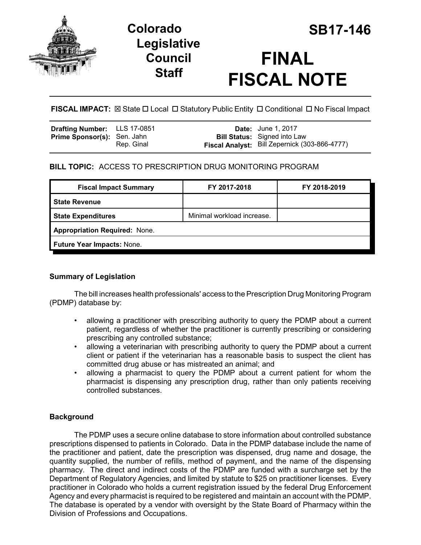

# **Colorado SB17-146 Legislative Council Staff**

# **FINAL FISCAL NOTE**

**FISCAL IMPACT:** ⊠ State □ Local □ Statutory Public Entity □ Conditional □ No Fiscal Impact

| <b>Drafting Number:</b> LLS 17-0851 |            | <b>Date:</b> June 1, 2017                     |
|-------------------------------------|------------|-----------------------------------------------|
| <b>Prime Sponsor(s): Sen. Jahn</b>  |            | <b>Bill Status:</b> Signed into Law           |
|                                     | Rep. Ginal | Fiscal Analyst: Bill Zepernick (303-866-4777) |

## **BILL TOPIC:** ACCESS TO PRESCRIPTION DRUG MONITORING PROGRAM

| <b>Fiscal Impact Summary</b>         | FY 2017-2018               | FY 2018-2019 |  |  |
|--------------------------------------|----------------------------|--------------|--|--|
| <b>State Revenue</b>                 |                            |              |  |  |
| <b>State Expenditures</b>            | Minimal workload increase. |              |  |  |
| <b>Appropriation Required: None.</b> |                            |              |  |  |
| Future Year Impacts: None.           |                            |              |  |  |

### **Summary of Legislation**

The bill increases health professionals' access to the Prescription Drug Monitoring Program (PDMP) database by:

- allowing a practitioner with prescribing authority to query the PDMP about a current patient, regardless of whether the practitioner is currently prescribing or considering prescribing any controlled substance;
- allowing a veterinarian with prescribing authority to query the PDMP about a current client or patient if the veterinarian has a reasonable basis to suspect the client has committed drug abuse or has mistreated an animal; and
- allowing a pharmacist to query the PDMP about a current patient for whom the pharmacist is dispensing any prescription drug, rather than only patients receiving controlled substances.

# **Background**

The PDMP uses a secure online database to store information about controlled substance prescriptions dispensed to patients in Colorado. Data in the PDMP database include the name of the practitioner and patient, date the prescription was dispensed, drug name and dosage, the quantity supplied, the number of refills, method of payment, and the name of the dispensing pharmacy. The direct and indirect costs of the PDMP are funded with a surcharge set by the Department of Regulatory Agencies, and limited by statute to \$25 on practitioner licenses. Every practitioner in Colorado who holds a current registration issued by the federal Drug Enforcement Agency and every pharmacist is required to be registered and maintain an account with the PDMP. The database is operated by a vendor with oversight by the State Board of Pharmacy within the Division of Professions and Occupations.